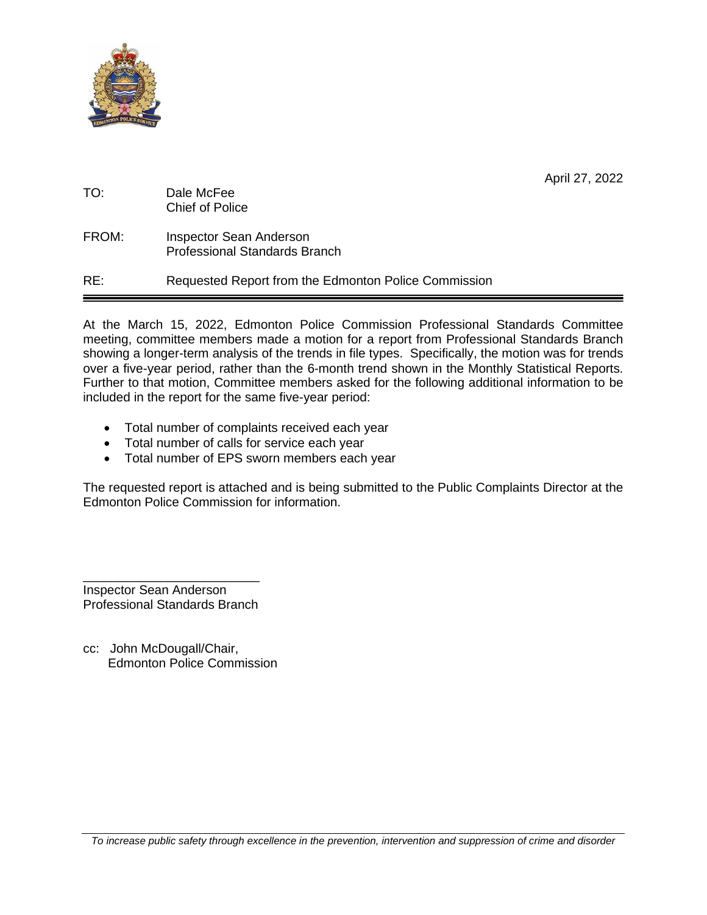

|  |  | April 27, 2022 |
|--|--|----------------|
|--|--|----------------|

| TO:   | Dale McFee<br>Chief of Police                                          |
|-------|------------------------------------------------------------------------|
| FROM: | <b>Inspector Sean Anderson</b><br><b>Professional Standards Branch</b> |
| RE:   | Requested Report from the Edmonton Police Commission                   |

At the March 15, 2022, Edmonton Police Commission Professional Standards Committee meeting, committee members made a motion for a report from Professional Standards Branch showing a longer-term analysis of the trends in file types. Specifically, the motion was for trends over a five-year period, rather than the 6-month trend shown in the Monthly Statistical Reports. Further to that motion, Committee members asked for the following additional information to be included in the report for the same five-year period:

- Total number of complaints received each year
- Total number of calls for service each year
- Total number of EPS sworn members each year

The requested report is attached and is being submitted to the Public Complaints Director at the Edmonton Police Commission for information.

\_\_\_\_\_\_\_\_\_\_\_\_\_\_\_\_\_\_\_\_\_\_\_\_\_ Inspector Sean Anderson Professional Standards Branch

cc: John McDougall/Chair, Edmonton Police Commission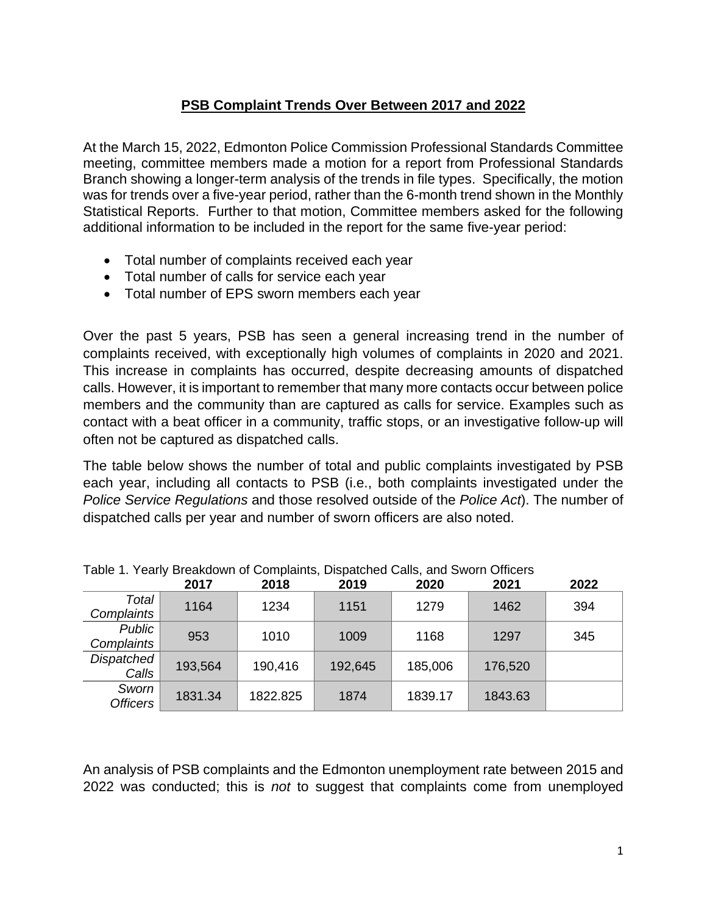# **PSB Complaint Trends Over Between 2017 and 2022**

At the March 15, 2022, Edmonton Police Commission Professional Standards Committee meeting, committee members made a motion for a report from Professional Standards Branch showing a longer-term analysis of the trends in file types. Specifically, the motion was for trends over a five-year period, rather than the 6-month trend shown in the Monthly Statistical Reports. Further to that motion, Committee members asked for the following additional information to be included in the report for the same five-year period:

- Total number of complaints received each year
- Total number of calls for service each year
- Total number of EPS sworn members each year

Over the past 5 years, PSB has seen a general increasing trend in the number of complaints received, with exceptionally high volumes of complaints in 2020 and 2021. This increase in complaints has occurred, despite decreasing amounts of dispatched calls. However, it is important to remember that many more contacts occur between police members and the community than are captured as calls for service. Examples such as contact with a beat officer in a community, traffic stops, or an investigative follow-up will often not be captured as dispatched calls.

The table below shows the number of total and public complaints investigated by PSB each year, including all contacts to PSB (i.e., both complaints investigated under the *Police Service Regulations* and those resolved outside of the *Police Act*). The number of dispatched calls per year and number of sworn officers are also noted.

|                             | 2017    | 2018     | 2019    | 2020    | 2021    | 2022 |
|-----------------------------|---------|----------|---------|---------|---------|------|
| Total<br>Complaints         | 1164    | 1234     | 1151    | 1279    | 1462    | 394  |
| <b>Public</b><br>Complaints | 953     | 1010     | 1009    | 1168    | 1297    | 345  |
| Dispatched<br>Calls         | 193,564 | 190,416  | 192,645 | 185,006 | 176,520 |      |
| Sworn<br><b>Officers</b>    | 1831.34 | 1822.825 | 1874    | 1839.17 | 1843.63 |      |

Table 1. Yearly Breakdown of Complaints, Dispatched Calls, and Sworn Officers

An analysis of PSB complaints and the Edmonton unemployment rate between 2015 and 2022 was conducted; this is *not* to suggest that complaints come from unemployed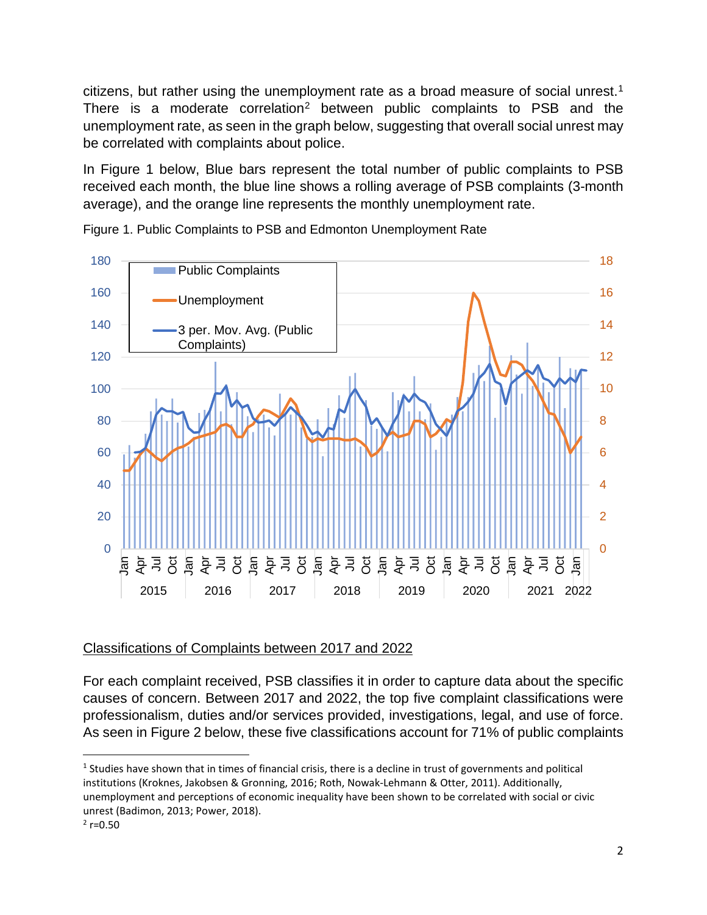citizens, but rather using the unemployment rate as a broad measure of social unrest.[1](#page-2-1) There is a moderate correlation<sup>[2](#page-2-2)</sup> between public complaints to PSB and the unemployment rate, as seen in the graph below, suggesting that overall social unrest may be correlated with complaints about police.

In [Figure 1](#page-2-0) below, Blue bars represent the total number of public complaints to PSB received each month, the blue line shows a rolling average of PSB complaints (3-month average), and the orange line represents the monthly unemployment rate.



<span id="page-2-0"></span>Figure 1. Public Complaints to PSB and Edmonton Unemployment Rate

# Classifications of Complaints between 2017 and 2022

For each complaint received, PSB classifies it in order to capture data about the specific causes of concern. Between 2017 and 2022, the top five complaint classifications were professionalism, duties and/or services provided, investigations, legal, and use of force. As seen in [Figure 2](#page-3-0) below, these five classifications account for 71% of public complaints

<span id="page-2-1"></span> $1$  Studies have shown that in times of financial crisis, there is a decline in trust of governments and political institutions (Kroknes, Jakobsen & Gronning, 2016; Roth, Nowak-Lehmann & Otter, 2011). Additionally, unemployment and perceptions of economic inequality have been shown to be correlated with social or civic unrest (Badimon, 2013; Power, 2018).

<span id="page-2-2"></span> $2$  r=0.50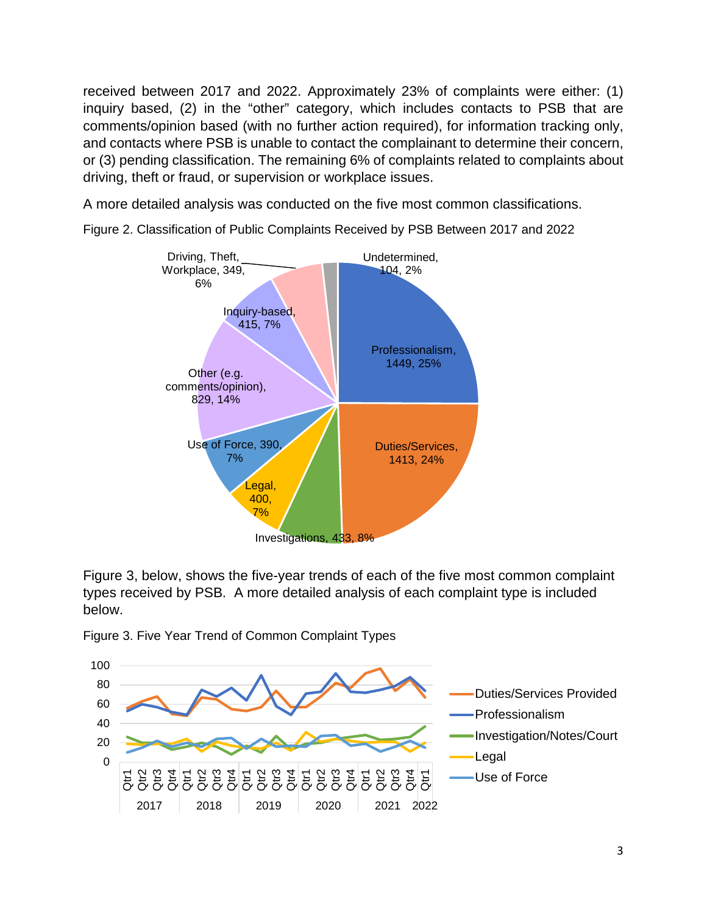received between 2017 and 2022. Approximately 23% of complaints were either: (1) inquiry based, (2) in the "other" category, which includes contacts to PSB that are comments/opinion based (with no further action required), for information tracking only, and contacts where PSB is unable to contact the complainant to determine their concern, or (3) pending classification. The remaining 6% of complaints related to complaints about driving, theft or fraud, or supervision or workplace issues.

A more detailed analysis was conducted on the five most common classifications.



<span id="page-3-0"></span>Figure 2. Classification of Public Complaints Received by PSB Between 2017 and 2022

[Figure 3,](#page-3-1) below, shows the five-year trends of each of the five most common complaint types received by PSB. A more detailed analysis of each complaint type is included below.



<span id="page-3-1"></span>Figure 3. Five Year Trend of Common Complaint Types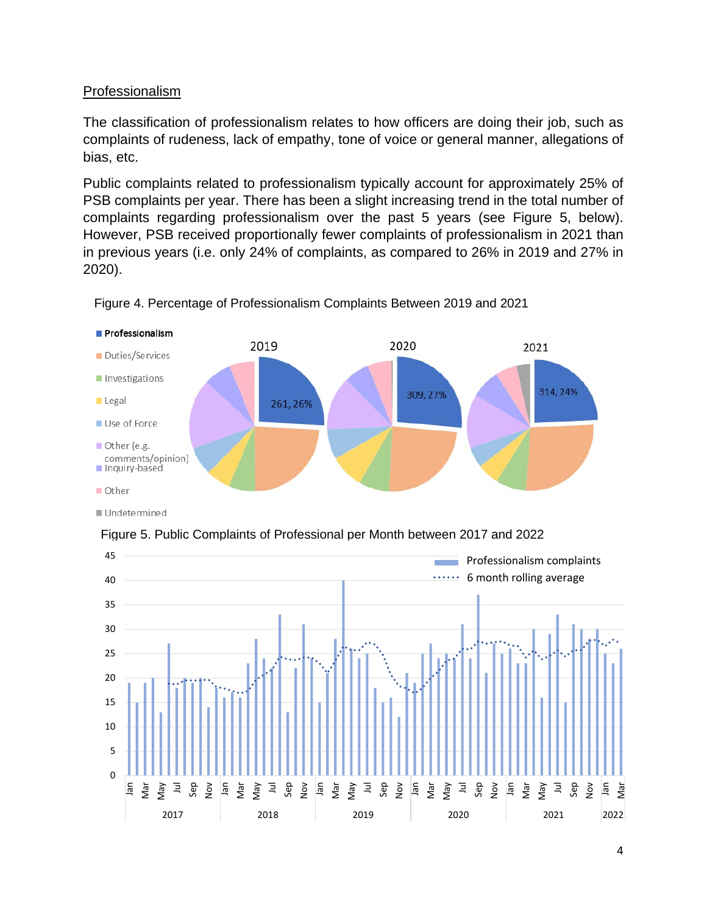# Professionalism

The classification of professionalism relates to how officers are doing their job, such as complaints of rudeness, lack of empathy, tone of voice or general manner, allegations of bias, etc.

Public complaints related to professionalism typically account for approximately 25% of PSB complaints per year. There has been a slight increasing trend in the total number of complaints regarding professionalism over the past 5 years (see [Figure 5,](#page-4-0) below). However, PSB received proportionally fewer complaints of professionalism in 2021 than in previous years (i.e. only 24% of complaints, as compared to 26% in 2019 and 27% in 2020).



Figure 4. Percentage of Professionalism Complaints Between 2019 and 2021

■ Undetermined

<span id="page-4-0"></span>Figure 5. Public Complaints of Professional per Month between 2017 and 2022

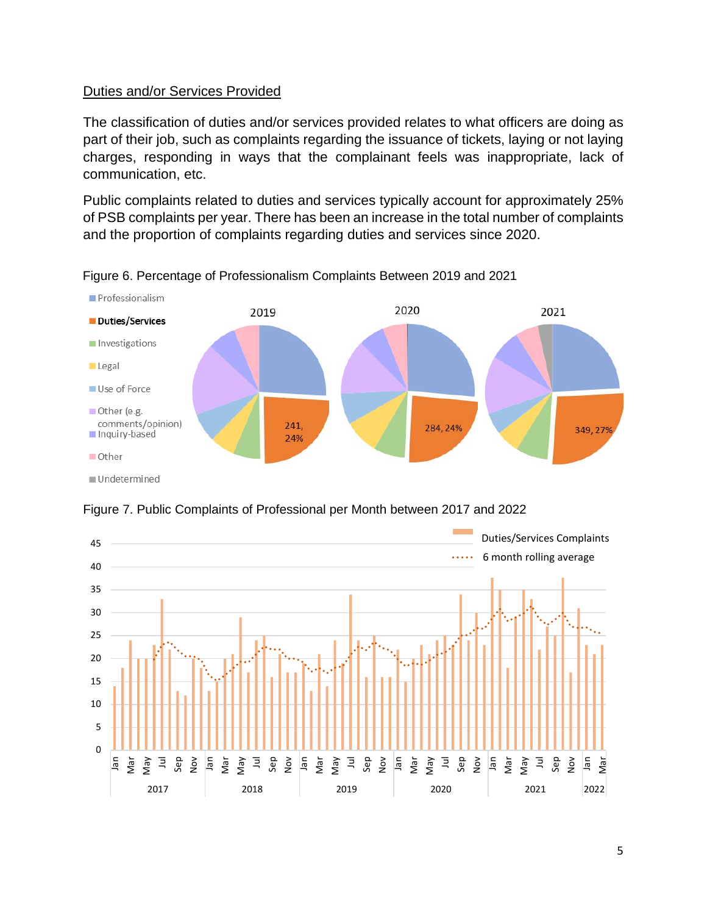### Duties and/or Services Provided

The classification of duties and/or services provided relates to what officers are doing as part of their job, such as complaints regarding the issuance of tickets, laying or not laying charges, responding in ways that the complainant feels was inappropriate, lack of communication, etc.

Public complaints related to duties and services typically account for approximately 25% of PSB complaints per year. There has been an increase in the total number of complaints and the proportion of complaints regarding duties and services since 2020.







Figure 7. Public Complaints of Professional per Month between 2017 and 2022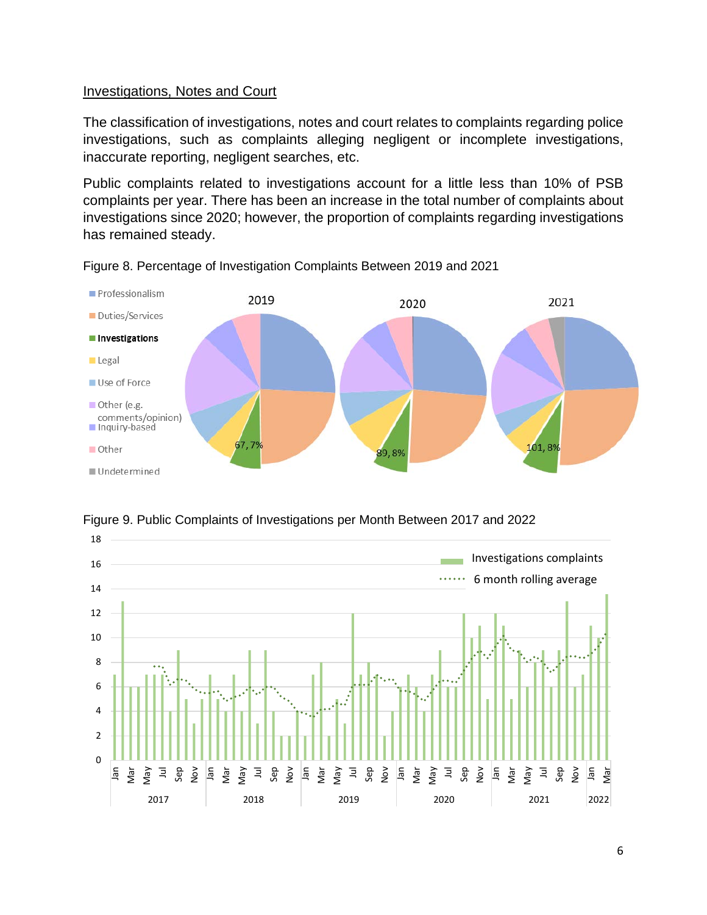#### Investigations, Notes and Court

The classification of investigations, notes and court relates to complaints regarding police investigations, such as complaints alleging negligent or incomplete investigations, inaccurate reporting, negligent searches, etc.

Public complaints related to investigations account for a little less than 10% of PSB complaints per year. There has been an increase in the total number of complaints about investigations since 2020; however, the proportion of complaints regarding investigations has remained steady.



Figure 8. Percentage of Investigation Complaints Between 2019 and 2021



Figure 9. Public Complaints of Investigations per Month Between 2017 and 2022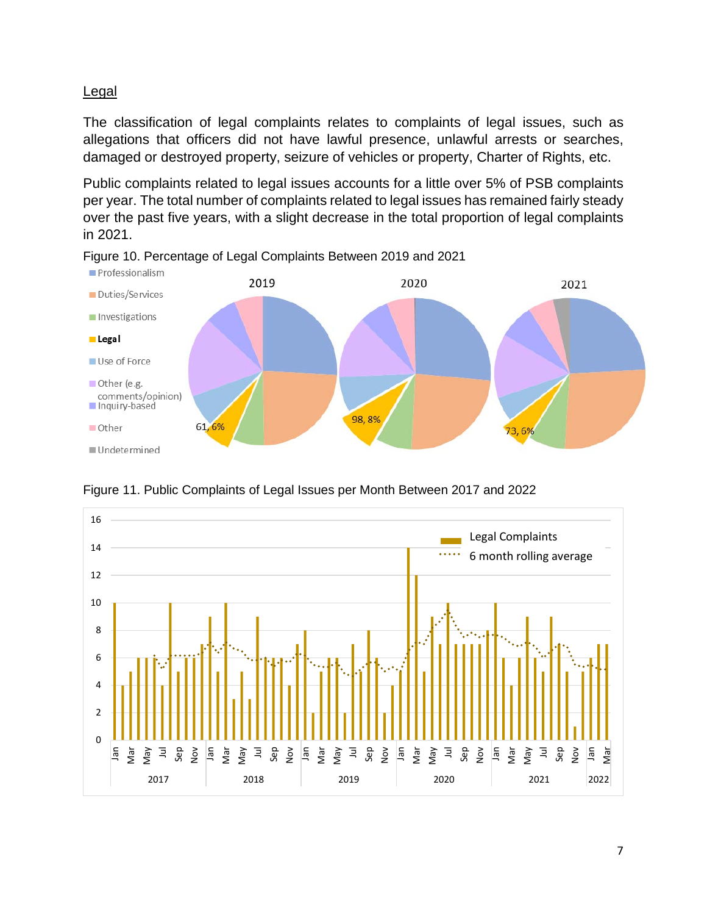### Legal

The classification of legal complaints relates to complaints of legal issues, such as allegations that officers did not have lawful presence, unlawful arrests or searches, damaged or destroyed property, seizure of vehicles or property, Charter of Rights, etc.

Public complaints related to legal issues accounts for a little over 5% of PSB complaints per year. The total number of complaints related to legal issues has remained fairly steady over the past five years, with a slight decrease in the total proportion of legal complaints in 2021.



Figure 10. Percentage of Legal Complaints Between 2019 and 2021



Figure 11. Public Complaints of Legal Issues per Month Between 2017 and 2022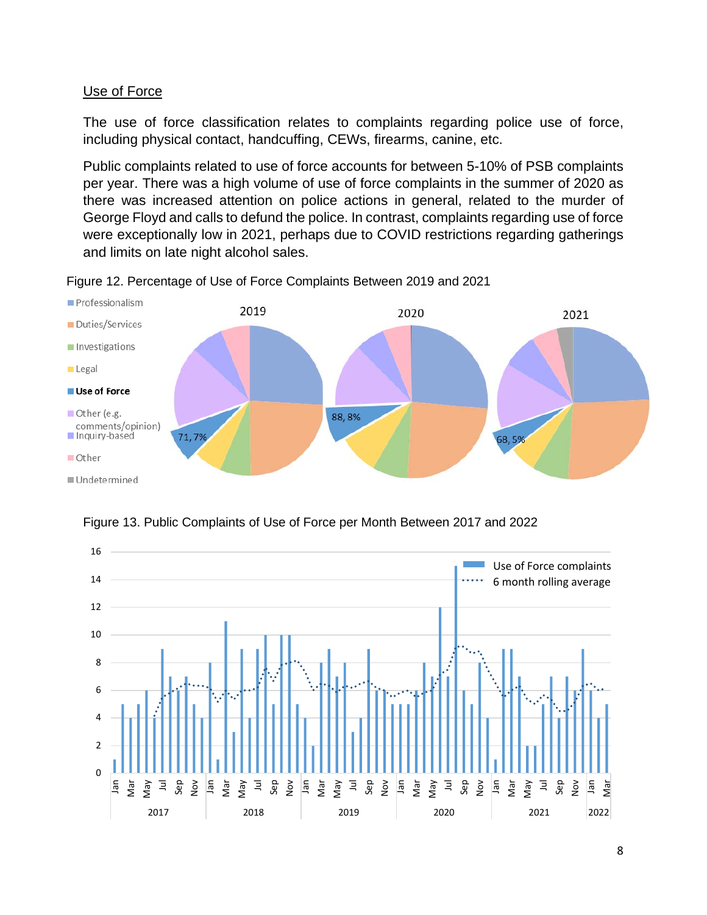### Use of Force

The use of force classification relates to complaints regarding police use of force, including physical contact, handcuffing, CEWs, firearms, canine, etc.

Public complaints related to use of force accounts for between 5-10% of PSB complaints per year. There was a high volume of use of force complaints in the summer of 2020 as there was increased attention on police actions in general, related to the murder of George Floyd and calls to defund the police. In contrast, complaints regarding use of force were exceptionally low in 2021, perhaps due to COVID restrictions regarding gatherings and limits on late night alcohol sales.



Figure 12. Percentage of Use of Force Complaints Between 2019 and 2021



Figure 13. Public Complaints of Use of Force per Month Between 2017 and 2022